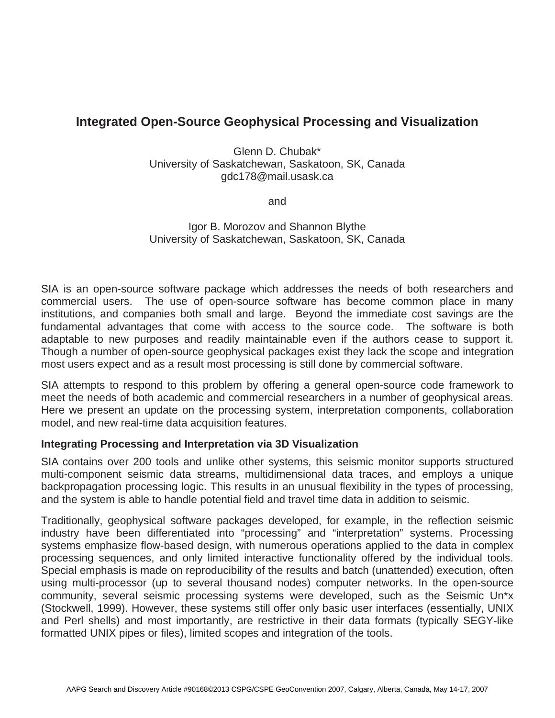# **Integrated Open-Source Geophysical Processing and Visualization**

Glenn D. Chubak\* University of Saskatchewan, Saskatoon, SK, Canada gdc178@mail.usask.ca

and

Igor B. Morozov and Shannon Blythe University of Saskatchewan, Saskatoon, SK, Canada

SIA is an open-source software package which addresses the needs of both researchers and commercial users. The use of open-source software has become common place in many institutions, and companies both small and large. Beyond the immediate cost savings are the fundamental advantages that come with access to the source code. The software is both adaptable to new purposes and readily maintainable even if the authors cease to support it. Though a number of open-source geophysical packages exist they lack the scope and integration most users expect and as a result most processing is still done by commercial software.

SIA attempts to respond to this problem by offering a general open-source code framework to meet the needs of both academic and commercial researchers in a number of geophysical areas. Here we present an update on the processing system, interpretation components, collaboration model, and new real-time data acquisition features.

#### **Integrating Processing and Interpretation via 3D Visualization**

SIA contains over 200 tools and unlike other systems, this seismic monitor supports structured multi-component seismic data streams, multidimensional data traces, and employs a unique backpropagation processing logic. This results in an unusual flexibility in the types of processing, and the system is able to handle potential field and travel time data in addition to seismic.

Traditionally, geophysical software packages developed, for example, in the reflection seismic industry have been differentiated into "processing" and "interpretation" systems. Processing systems emphasize flow-based design, with numerous operations applied to the data in complex processing sequences, and only limited interactive functionality offered by the individual tools. Special emphasis is made on reproducibility of the results and batch (unattended) execution, often using multi-processor (up to several thousand nodes) computer networks. In the open-source community, several seismic processing systems were developed, such as the Seismic Un\*x (Stockwell, 1999). However, these systems still offer only basic user interfaces (essentially, UNIX and Perl shells) and most importantly, are restrictive in their data formats (typically SEGY-like formatted UNIX pipes or files), limited scopes and integration of the tools.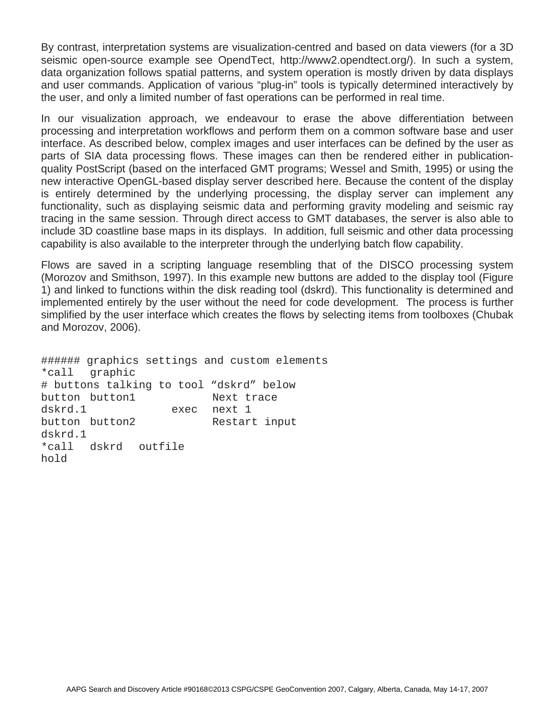By contrast, interpretation systems are visualization-centred and based on data viewers (for a 3D seismic open-source example see OpendTect, http://www2.opendtect.org/). In such a system, data organization follows spatial patterns, and system operation is mostly driven by data displays and user commands. Application of various "plug-in" tools is typically determined interactively by the user, and only a limited number of fast operations can be performed in real time.

In our visualization approach, we endeavour to erase the above differentiation between processing and interpretation workflows and perform them on a common software base and user interface. As described below, complex images and user interfaces can be defined by the user as parts of SIA data processing flows. These images can then be rendered either in publicationquality PostScript (based on the interfaced GMT programs; Wessel and Smith, 1995) or using the new interactive OpenGL-based display server described here. Because the content of the display is entirely determined by the underlying processing, the display server can implement any functionality, such as displaying seismic data and performing gravity modeling and seismic ray tracing in the same session. Through direct access to GMT databases, the server is also able to include 3D coastline base maps in its displays. In addition, full seismic and other data processing capability is also available to the interpreter through the underlying batch flow capability.

Flows are saved in a scripting language resembling that of the DISCO processing system (Morozov and Smithson, 1997). In this example new buttons are added to the display tool (Figure 1) and linked to functions within the disk reading tool (dskrd). This functionality is determined and implemented entirely by the user without the need for code development. The process is further simplified by the user interface which creates the flows by selecting items from toolboxes (Chubak and Morozov, 2006).

###### graphics settings and custom elements \*call graphic # buttons talking to tool "dskrd" below button button1 Next trace dskrd.1 exec next 1 button button2 Restart input dskrd.1 \*call dskrd outfile hold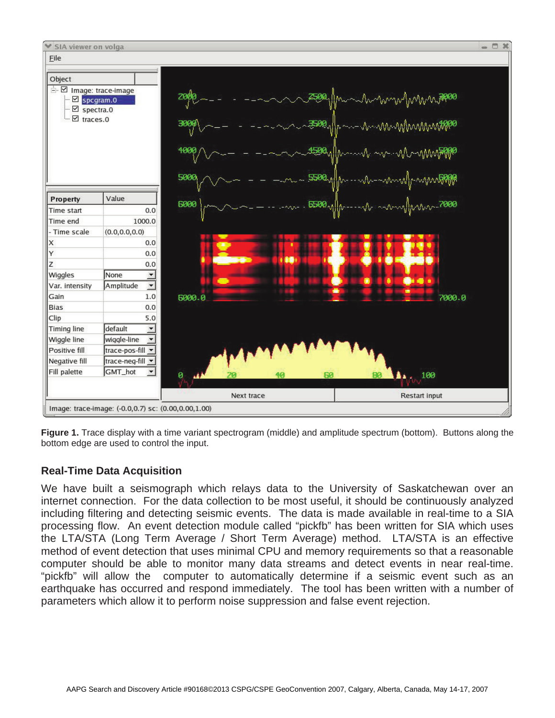

**Figure 1.** Trace display with a time variant spectrogram (middle) and amplitude spectrum (bottom). Buttons along the bottom edge are used to control the input.

## **Real-Time Data Acquisition**

We have built a seismograph which relays data to the University of Saskatchewan over an internet connection. For the data collection to be most useful, it should be continuously analyzed including filtering and detecting seismic events. The data is made available in real-time to a SIA processing flow. An event detection module called "pickfb" has been written for SIA which uses the LTA/STA (Long Term Average / Short Term Average) method. LTA/STA is an effective method of event detection that uses minimal CPU and memory requirements so that a reasonable computer should be able to monitor many data streams and detect events in near real-time. "pickfb" will allow the computer to automatically determine if a seismic event such as an earthquake has occurred and respond immediately. The tool has been written with a number of parameters which allow it to perform noise suppression and false event rejection.